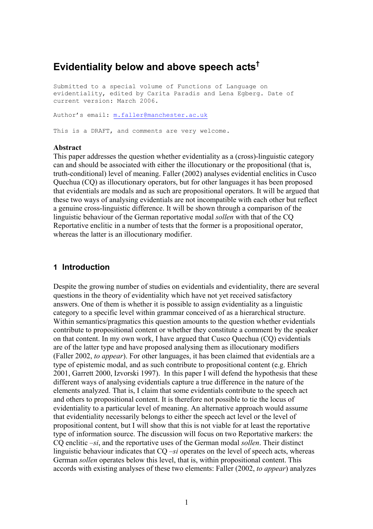# **Evidentiality below and above speech acts†**

Submitted to a special volume of Functions of Language on evidentiality, edited by Carita Paradis and Lena Egberg. Date of current version: March 2006. Author's email: m.faller@manchester.ac.uk

This is a DRAFT, and comments are very welcome.

#### **Abstract**

This paper addresses the question whether evidentiality as a (cross)-linguistic category can and should be associated with either the illocutionary or the propositional (that is, truth-conditional) level of meaning. Faller (2002) analyses evidential enclitics in Cusco Quechua (CQ) as illocutionary operators, but for other languages it has been proposed that evidentials are modals and as such are propositional operators. It will be argued that these two ways of analysing evidentials are not incompatible with each other but reflect a genuine cross-linguistic difference. It will be shown through a comparison of the linguistic behaviour of the German reportative modal *sollen* with that of the CQ Reportative enclitic in a number of tests that the former is a propositional operator, whereas the latter is an illocutionary modifier.

#### **1 Introduction**

Despite the growing number of studies on evidentials and evidentiality, there are several questions in the theory of evidentiality which have not yet received satisfactory answers. One of them is whether it is possible to assign evidentiality as a linguistic category to a specific level within grammar conceived of as a hierarchical structure. Within semantics/pragmatics this question amounts to the question whether evidentials contribute to propositional content or whether they constitute a comment by the speaker on that content. In my own work, I have argued that Cusco Quechua (CQ) evidentials are of the latter type and have proposed analysing them as illocutionary modifiers (Faller 2002, *to appear*). For other languages, it has been claimed that evidentials are a type of epistemic modal, and as such contribute to propositional content (e.g. Ehrich 2001, Garrett 2000, Izvorski 1997). In this paper I will defend the hypothesis that these different ways of analysing evidentials capture a true difference in the nature of the elements analyzed. That is, I claim that some evidentials contribute to the speech act and others to propositional content. It is therefore not possible to tie the locus of evidentiality to a particular level of meaning. An alternative approach would assume that evidentiality necessarily belongs to either the speech act level or the level of propositional content, but I will show that this is not viable for at least the reportative type of information source. The discussion will focus on two Reportative markers: the CQ enclitic *–si*, and the reportative uses of the German modal *sollen*. Their distinct linguistic behaviour indicates that CQ *–si* operates on the level of speech acts, whereas German *sollen* operates below this level, that is, within propositional content. This accords with existing analyses of these two elements: Faller (2002, *to appear*) analyzes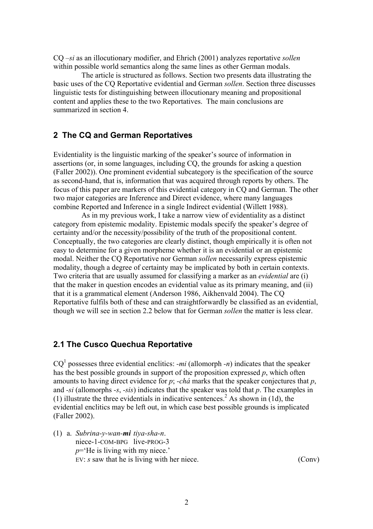CQ *–si* as an illocutionary modifier, and Ehrich (2001) analyzes reportative *sollen* within possible world semantics along the same lines as other German modals.

The article is structured as follows. Section two presents data illustrating the basic uses of the CQ Reportative evidential and German *sollen*. Section three discusses linguistic tests for distinguishing between illocutionary meaning and propositional content and applies these to the two Reportatives. The main conclusions are summarized in section 4.

#### **2 The CQ and German Reportatives**

Evidentiality is the linguistic marking of the speaker's source of information in assertions (or, in some languages, including CQ, the grounds for asking a question (Faller 2002)). One prominent evidential subcategory is the specification of the source as second-hand, that is, information that was acquired through reports by others. The focus of this paper are markers of this evidential category in CQ and German. The other two major categories are Inference and Direct evidence, where many languages combine Reported and Inference in a single Indirect evidential (Willett 1988).

As in my previous work, I take a narrow view of evidentiality as a distinct category from epistemic modality. Epistemic modals specify the speaker's degree of certainty and/or the necessity/possibility of the truth of the propositional content. Conceptually, the two categories are clearly distinct, though empirically it is often not easy to determine for a given morpheme whether it is an evidential or an epistemic modal. Neither the CQ Reportative nor German *sollen* necessarily express epistemic modality, though a degree of certainty may be implicated by both in certain contexts. Two criteria that are usually assumed for classifying a marker as an *evidential* are (i) that the maker in question encodes an evidential value as its primary meaning, and (ii) that it is a grammatical element (Anderson 1986, Aikhenvald 2004). The CQ Reportative fulfils both of these and can straightforwardly be classified as an evidential, though we will see in section 2.2 below that for German *sollen* the matter is less clear.

#### **2.1 The Cusco Quechua Reportative**

 $CQ<sup>1</sup>$  possesses three evidential enclitics: *-mi* (allomorph *-n*) indicates that the speaker has the best possible grounds in support of the proposition expressed *p*, which often amounts to having direct evidence for *p*; *-chá* marks that the speaker conjectures that *p*, and *-si* (allomorphs *-s*, *-sis*) indicates that the speaker was told that *p*. The examples in (1) illustrate the three evidentials in indicative sentences.<sup>2</sup> As shown in (1d), the evidential enclitics may be left out, in which case best possible grounds is implicated (Faller 2002).

(1) a. *Subrina-y-wan-mi tiya-sha-n*. niece-1-COM-BPG live-PROG-3 *p*='He is living with my niece.' EV: *s* saw that he is living with her niece. (Conv)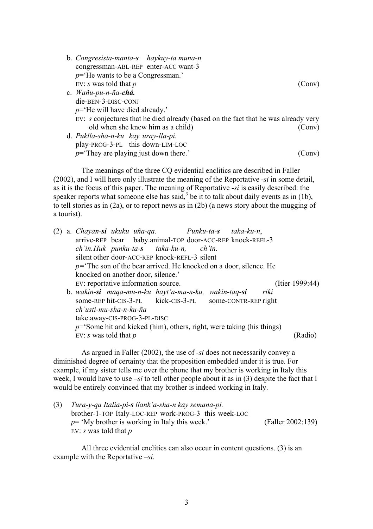b. *Congresista-manta-s haykuy-ta muna-n* congressman-ABL-REP enter-ACC want-3 *p*='He wants to be a Congressman.' EV: *s* was told that *p* (Conv) c. *Wañu-pu-n-ña-chá.* die-BEN-3-DISC-CONJ *p*='He will have died already.' EV: *s* conjectures that he died already (based on the fact that he was already very old when she knew him as a child) (Conv) d. *Puklla-sha-n-ku kay uray-lla-pi.* play-PROG-3-PL this down-LIM-LOC  $p$ = They are playing just down there.' (Conv)

The meanings of the three CQ evidential enclitics are described in Faller (2002), and I will here only illustrate the meaning of the Reportative *-si* in some detail, as it is the focus of this paper. The meaning of Reportative *-si* is easily described: the speaker reports what someone else has said,  $3$  be it to talk about daily events as in (1b), to tell stories as in (2a), or to report news as in (2b) (a news story about the mugging of a tourist).

|                                                                      |                                               | a. Chayan-si ukuku uña-qa. Punku-ta-s taka-ku-n,<br>arrive-REP bear baby.animal-TOP door-ACC-REP knock-REFL-3 |  |  |                 |
|----------------------------------------------------------------------|-----------------------------------------------|---------------------------------------------------------------------------------------------------------------|--|--|-----------------|
|                                                                      |                                               | ch'in. Huk punku-ta-s taka-ku-n, ch'in.                                                                       |  |  |                 |
|                                                                      | silent other door-ACC-REP knock-REFL-3 silent |                                                                                                               |  |  |                 |
| $p$ = The son of the bear arrived. He knocked on a door, silence. He |                                               |                                                                                                               |  |  |                 |
|                                                                      |                                               | knocked on another door, silence.'                                                                            |  |  |                 |
|                                                                      |                                               | EV: reportative information source.                                                                           |  |  | (Itier 1999:44) |
|                                                                      |                                               | b. wakin-si maqa-mu-n-ku hayt'a-mu-n-ku, wakin-taq-si riki                                                    |  |  |                 |
|                                                                      |                                               | some-REP hit-CIS-3-PL kick-CIS-3-PL some-CONTR-REP right                                                      |  |  |                 |
|                                                                      |                                               | ch'usti-mu-sha-n-ku-ña                                                                                        |  |  |                 |
|                                                                      | take.away-CIS-PROG-3-PL-DISC                  |                                                                                                               |  |  |                 |
|                                                                      |                                               | $p$ = Some hit and kicked (him), others, right, were taking (his things)<br>EV: s was told that $p$           |  |  |                 |
|                                                                      |                                               |                                                                                                               |  |  | Rad             |

As argued in Faller (2002), the use of *-si* does not necessarily convey a diminished degree of certainty that the proposition embedded under it is true. For example, if my sister tells me over the phone that my brother is working in Italy this week, I would have to use *–si* to tell other people about it as in (3) despite the fact that I would be entirely convinced that my brother is indeed working in Italy.

(3) *Tura-y-qa Italia-pi-s llank'a-sha-n kay semana-pi.* brother-1-TOP Italy-LOC-REP work-PROG-3 this week-LOC  $p=$  'My brother is working in Italy this week.' (Faller 2002:139) EV: *s* was told that *p*

All three evidential enclitics can also occur in content questions. (3) is an example with the Reportative *–si*.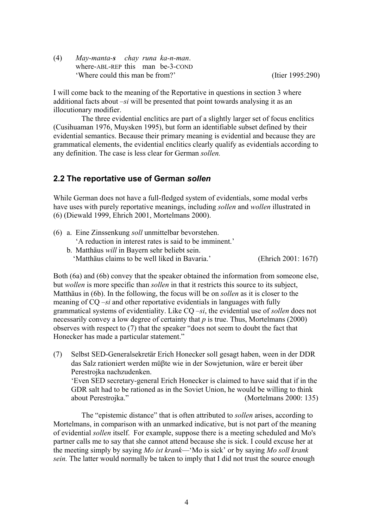(4) *May-manta-s chay runa ka-n-man*. where-ABL-REP this man be-3-COND 'Where could this man be from?' (Itier 1995:290)

I will come back to the meaning of the Reportative in questions in section 3 where additional facts about *–si* will be presented that point towards analysing it as an illocutionary modifier.

The three evidential enclitics are part of a slightly larger set of focus enclitics (Cusihuaman 1976, Muysken 1995), but form an identifiable subset defined by their evidential semantics. Because their primary meaning is evidential and because they are grammatical elements, the evidential enclitics clearly qualify as evidentials according to any definition. The case is less clear for German *sollen.*

### **2.2 The reportative use of German** *sollen*

While German does not have a full-fledged system of evidentials, some modal verbs have uses with purely reportative meanings, including *sollen* and *wollen* illustrated in (6) (Diewald 1999, Ehrich 2001, Mortelmans 2000).

(6) a. Eine Zinssenkung *soll* unmittelbar bevorstehen.

'A reduction in interest rates is said to be imminent.'

b. Matthäus *will* in Bayern sehr beliebt sein.

' Matthäus claims to be well liked in Bavaria.' (Ehrich 2001: 167f)

Both (6a) and (6b) convey that the speaker obtained the information from someone else, but *wollen* is more specific than *sollen* in that it restricts this source to its subject, Matthäus in (6b). In the following, the focus will be on *sollen* as it is closer to the meaning of CQ *–si* and other reportative evidentials in languages with fully grammatical systems of evidentiality. Like CQ *–si*, the evidential use of *sollen* does not necessarily convey a low degree of certainty that *p* is true. Thus, Mortelmans (2000) observes with respect to (7) that the speaker "does not seem to doubt the fact that Honecker has made a particular statement."

(7) Selbst SED-Generalsekretär Erich Honecker soll gesagt haben, ween in der DDR das Salz rationiert werden müβte wie in der Sowjetunion, wäre er bereit über Perestrojka nachzudenken. 'Even SED secretary-general Erich Honecker is claimed to have said that if in the GDR salt had to be rationed as in the Soviet Union, he would be willing to think about Perestrojka." (Mortelmans 2000: 135)

The "epistemic distance" that is often attributed to *sollen* arises, according to Mortelmans, in comparison with an unmarked indicative, but is not part of the meaning of evidential *sollen* itself. For example, suppose there is a meeting scheduled and Mo's partner calls me to say that she cannot attend because she is sick. I could excuse her at the meeting simply by saying *Mo ist krank*—'Mo is sick' or by saying *Mo soll krank sein.* The latter would normally be taken to imply that I did not trust the source enough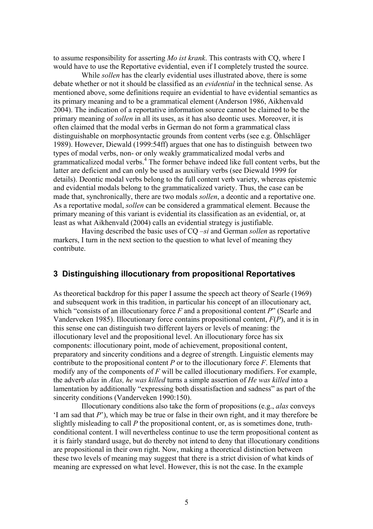to assume responsibility for asserting *Mo ist krank*. This contrasts with CQ, where I would have to use the Reportative evidential, even if I completely trusted the source.

While *sollen* has the clearly evidential uses illustrated above, there is some debate whether or not it should be classified as an *evidential* in the technical sense. As mentioned above, some definitions require an evidential to have evidential semantics as its primary meaning and to be a grammatical element (Anderson 1986, Aikhenvald 2004). The indication of a reportative information source cannot be claimed to be the primary meaning of *sollen* in all its uses, as it has also deontic uses. Moreover, it is often claimed that the modal verbs in German do not form a grammatical class distinguishable on morphosyntactic grounds from content verbs (see e.g. Öhlschläger 1989). However, Diewald (1999:54ff) argues that one has to distinguish between two types of modal verbs, non- or only weakly grammaticalized modal verbs and grammaticalized modal verbs.<sup>4</sup> The former behave indeed like full content verbs, but the latter are deficient and can only be used as auxiliary verbs (see Diewald 1999 for details). Deontic modal verbs belong to the full content verb variety, whereas epistemic and evidential modals belong to the grammaticalized variety. Thus, the case can be made that, synchronically, there are two modals *sollen*, a deontic and a reportative one. As a reportative modal, *sollen* can be considered a grammatical element. Because the primary meaning of this variant is evidential its classification as an evidential, or, at least as what Aikhenvald (2004) calls an evidential strategy is justifiable.

Having described the basic uses of CQ *–si* and German *sollen* as reportative markers, I turn in the next section to the question to what level of meaning they contribute.

#### **3 Distinguishing illocutionary from propositional Reportatives**

As theoretical backdrop for this paper I assume the speech act theory of Searle (1969) and subsequent work in this tradition, in particular his concept of an illocutionary act, which "consists of an illocutionary force *F* and a propositional content *P*" (Searle and Vanderveken 1985). Illocutionary force contains propositional content, *F*(*P*), and it is in this sense one can distinguish two different layers or levels of meaning: the illocutionary level and the propositional level. An illocutionary force has six components: illocutionary point, mode of achievement, propositional content, preparatory and sincerity conditions and a degree of strength. Linguistic elements may contribute to the propositional content *P* or to the illocutionary force *F*. Elements that modify any of the components of *F* will be called illocutionary modifiers. For example, the adverb *alas* in *Alas, he was killed* turns a simple assertion of *He was killed* into a lamentation by additionally "expressing both dissatisfaction and sadness" as part of the sincerity conditions (Vanderveken 1990:150).

Illocutionary conditions also take the form of propositions (e.g., *alas* conveys 'I am sad that *P*'), which may be true or false in their own right, and it may therefore be slightly misleading to call *P* the propositional content, or, as is sometimes done, truthconditional content. I will nevertheless continue to use the term propositional content as it is fairly standard usage, but do thereby not intend to deny that illocutionary conditions are propositional in their own right. Now, making a theoretical distinction between these two levels of meaning may suggest that there is a strict division of what kinds of meaning are expressed on what level. However, this is not the case. In the example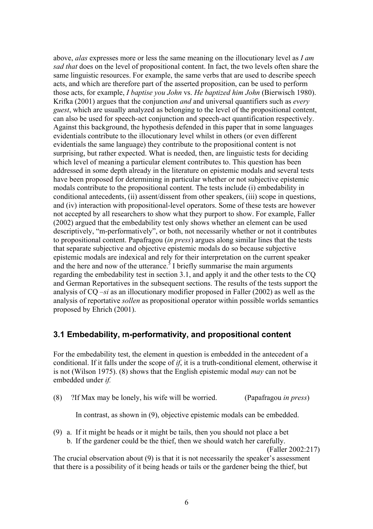above, *alas* expresses more or less the same meaning on the illocutionary level as *I am sad that* does on the level of propositional content. In fact, the two levels often share the same linguistic resources. For example, the same verbs that are used to describe speech acts, and which are therefore part of the asserted proposition, can be used to perform those acts, for example, *I baptise you John* vs. *He baptized him John* (Bierwisch 1980). Krifka (2001) argues that the conjunction *and* and universal quantifiers such as *every guest*, which are usually analyzed as belonging to the level of the propositional content, can also be used for speech-act conjunction and speech-act quantification respectively. Against this background, the hypothesis defended in this paper that in some languages evidentials contribute to the illocutionary level whilst in others (or even different evidentials the same language) they contribute to the propositional content is not surprising, but rather expected. What is needed, then, are linguistic tests for deciding which level of meaning a particular element contributes to. This question has been addressed in some depth already in the literature on epistemic modals and several tests have been proposed for determining in particular whether or not subjective epistemic modals contribute to the propositional content. The tests include (i) embedability in conditional antecedents, (ii) assent/dissent from other speakers, (iii) scope in questions, and (iv) interaction with propositional-level operators. Some of these tests are however not accepted by all researchers to show what they purport to show. For example, Faller (2002) argued that the embedability test only shows whether an element can be used descriptively, "m-performatively", or both, not necessarily whether or not it contributes to propositional content. Papafragou (*in press*) argues along similar lines that the tests that separate subjective and objective epistemic modals do so because subjective epistemic modals are indexical and rely for their interpretation on the current speaker and the here and now of the utterance.<sup>5</sup> I briefly summarise the main arguments regarding the embedability test in section 3.1, and apply it and the other tests to the CQ and German Reportatives in the subsequent sections. The results of the tests support the analysis of CQ *–si* as an illocutionary modifier proposed in Faller (2002) as well as the analysis of reportative *sollen* as propositional operator within possible worlds semantics proposed by Ehrich (2001).

## **3.1 Embedability, m-performativity, and propositional content**

For the embedability test, the element in question is embedded in the antecedent of a conditional. If it falls under the scope of *if*, it is a truth-conditional element, otherwise it is not (Wilson 1975). (8) shows that the English epistemic modal *may* can not be embedded under *if.* 

(8) ?If Max may be lonely, his wife will be worried. (Papafragou *in press*)

In contrast, as shown in (9), objective epistemic modals can be embedded.

(9) a. If it might be heads or it might be tails, then you should not place a bet b. If the gardener could be the thief, then we should watch her carefully.

(Faller 2002:217)

The crucial observation about (9) is that it is not necessarily the speaker's assessment that there is a possibility of it being heads or tails or the gardener being the thief, but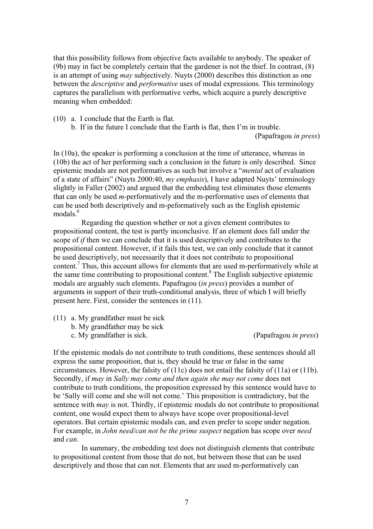that this possibility follows from objective facts available to anybody. The speaker of (9b) may in fact be completely certain that the gardener is not the thief. In contrast, (8) is an attempt of using *may* subjectively. Nuyts (2000) describes this distinction as one between the *descriptive* and *performative* uses of modal expressions. This terminology captures the parallelism with performative verbs, which acquire a purely descriptive meaning when embedded:

(10) a. I conclude that the Earth is flat.

b. If in the future I conclude that the Earth is flat, then I'm in trouble.

(Papafragou *in press*)

In (10a), the speaker is performing a conclusion at the time of utterance, whereas in (10b) the act of her performing such a conclusion in the future is only described. Since epistemic modals are not performatives as such but involve a "*mental* act of evaluation of a state of affairs" (Nuyts 2000:40, *my emphasis*), I have adapted Nuyts' terminology slightly in Faller (2002) and argued that the embedding test eliminates those elements that can only be used *m*-performatively and the m-performative uses of elements that can be used both descriptively and m-peformatively such as the English epistemic modals $6$ 

Regarding the question whether or not a given element contributes to propositional content, the test is partly inconclusive. If an element does fall under the scope of *if* then we can conclude that it is used descriptively and contributes to the propositional content. However, if it fails this test, we can only conclude that it cannot be used descriptively, not necessarily that it does not contribute to propositional content.<sup>7</sup> Thus, this account allows for elements that are used m-performatively while at the same time contributing to propositional content.<sup>8</sup> The English subjective epistemic modals are arguably such elements. Papafragou (*in press*) provides a number of arguments in support of their truth-conditional analysis, three of which I will briefly present here. First, consider the sentences in (11).

- (11) a. My grandfather must be sick
	- b. My grandfather may be sick
		- c. My grandfather is sick. (Papafragou *in press*)

If the epistemic modals do not contribute to truth conditions, these sentences should all express the same proposition, that is, they should be true or false in the same circumstances. However, the falsity of (11c) does not entail the falsity of (11a) or (11b). Secondly, if *may* in *Sally may come and then again she may not come* does not contribute to truth conditions, the proposition expressed by this sentence would have to be 'Sally will come and she will not come.' This proposition is contradictory, but the sentence with *may* is not. Thirdly, if epistemic modals do not contribute to propositional content, one would expect them to always have scope over propositional-level operators. But certain epistemic modals can, and even prefer to scope under negation. For example, in *John need/can not be the prime suspect* negation has scope over *need* and *can*.

In summary, the embedding test does not distinguish elements that contribute to propositional content from those that do not, but between those that can be used descriptively and those that can not. Elements that are used m-performatively can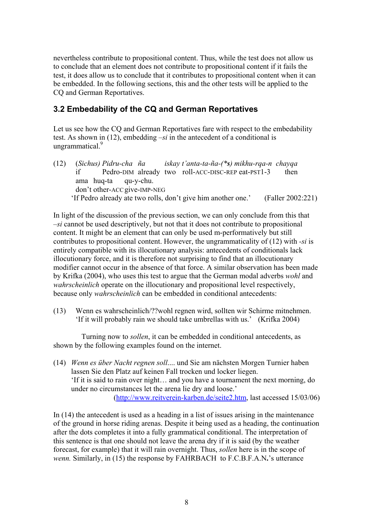nevertheless contribute to propositional content. Thus, while the test does not allow us to conclude that an element does not contribute to propositional content if it fails the test, it does allow us to conclude that it contributes to propositional content when it can be embedded. In the following sections, this and the other tests will be applied to the CQ and German Reportatives.

# **3.2 Embedability of the CQ and German Reportatives**

Let us see how the CQ and German Reportatives fare with respect to the embedability test. As shown in (12), embedding *–si* in the antecedent of a conditional is ungrammatical.<sup>9</sup>

(12) (*Sichus) Pidru-cha ña iskay t'anta-ta-ña-(\*s) mikhu-rqa-n chayqa* if Pedro-DIM already two roll-ACC-DISC-REP eat-PST1-3 then ama huq-ta qu-y-chu. don't other-ACC give-IMP-NEG 'If Pedro already ate two rolls, don't give him another one.' (Faller 2002:221)

In light of the discussion of the previous section, we can only conclude from this that *–si* cannot be used descriptively, but not that it does not contribute to propositional content. It might be an element that can only be used m-performatively but still contributes to propositional content. However, the ungrammaticality of (12) with *-si* is entirely compatible with its illocutionary analysis: antecedents of conditionals lack illocutionary force, and it is therefore not surprising to find that an illocutionary modifier cannot occur in the absence of that force. A similar observation has been made by Krifka (2004), who uses this test to argue that the German modal adverbs *wohl* and *wahrscheinlich* operate on the illocutionary and propositional level respectively, because only *wahrscheinlich* can be embedded in conditional antecedents:

(13) Wenn es wahrscheinlich/??wohl regnen wird, sollten wir Schirme mitnehmen. 'If it will probably rain we should take umbrellas with us.' (Krifka 2004)

Turning now to *sollen*, it can be embedded in conditional antecedents, as shown by the following examples found on the internet.

(14) *Wenn es über Nacht regnen soll*.... und Sie am nächsten Morgen Turnier haben lassen Sie den Platz auf keinen Fall trocken und locker liegen. 'If it is said to rain over night… and you have a tournament the next morning, do under no circumstances let the arena lie dry and loose.' (http://www.reitverein-karben.de/seite2.htm, last accessed 15/03/06)

In (14) the antecedent is used as a heading in a list of issues arising in the maintenance of the ground in horse riding arenas. Despite it being used as a heading, the continuation after the dots completes it into a fully grammatical conditional. The interpretation of this sentence is that one should not leave the arena dry if it is said (by the weather forecast, for example) that it will rain overnight. Thus, *sollen* here is in the scope of *wenn.* Similarly, in (15) the response by FAHRBACH to F.C.B.F.A.N**.**'s utterance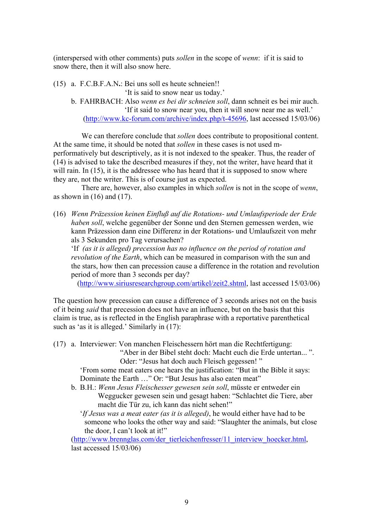(interspersed with other comments) puts *sollen* in the scope of *wenn*: if it is said to snow there, then it will also snow here.

(15) a. F.C.B.F.A.N**.**: Bei uns soll es heute schneien!!

'It is said to snow near us today.'

b. FAHRBACH: Also *wenn es bei dir schneien soll*, dann schneit es bei mir auch. 'If it said to snow near you, then it will snow near me as well.' (http://www.kc-forum.com/archive/index.php/t-45696, last accessed 15/03/06)

We can therefore conclude that *sollen* does contribute to propositional content. At the same time, it should be noted that *sollen* in these cases is not used mperformatively but descriptively, as it is not indexed to the speaker. Thus, the reader of (14) is advised to take the described measures if they, not the writer, have heard that it will rain. In (15), it is the addressee who has heard that it is supposed to snow where they are, not the writer. This is of course just as expected.

There are, however, also examples in which *sollen* is not in the scope of *wenn*, as shown in  $(16)$  and  $(17)$ .

(16) *Wenn Präzession keinen Einfluß auf die Rotations- und Umlaufsperiode der Erde haben soll*, welche gegenüber der Sonne und den Sternen gemessen werden, wie kann Präzession dann eine Differenz in der Rotations- und Umlaufszeit von mehr als 3 Sekunden pro Tag verursachen?

'If *(as it is alleged) precession has no influence on the period of rotation and revolution of the Earth*, which can be measured in comparison with the sun and the stars, how then can precession cause a difference in the rotation and revolution period of more than 3 seconds per day?

(http://www.siriusresearchgroup.com/artikel/zeit2.shtml, last accessed 15/03/06)

The question how precession can cause a difference of 3 seconds arises not on the basis of it being *said* that precession does not have an influence, but on the basis that this claim is true, as is reflected in the English paraphrase with a reportative parenthetical such as 'as it is alleged.' Similarly in (17):

(17) a. Interviewer: Von manchen Fleischessern hört man die Rechtfertigung:

"Aber in der Bibel steht doch: Macht euch die Erde untertan... ". Oder: "Jesus hat doch auch Fleisch gegessen! "

'From some meat eaters one hears the justification: "But in the Bible it says: Dominate the Earth …" Or: "But Jesus has also eaten meat"

b. B.H.: *Wenn Jesus Fleischesser gewesen sein soll*, müsste er entweder ein Weggucker gewesen sein und gesagt haben: "Schlachtet die Tiere, aber macht die Tür zu, ich kann das nicht sehen!"

'*If Jesus was a meat eater (as it is alleged)*, he would either have had to be someone who looks the other way and said: "Slaughter the animals, but close the door, I can't look at it!"

(http://www.brennglas.com/der\_tierleichenfresser/11\_interview\_hoecker.html, last accessed 15/03/06)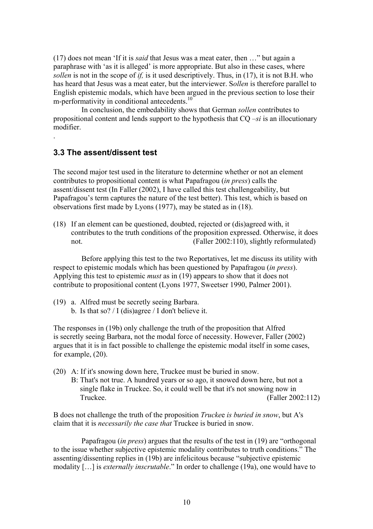(17) does not mean 'If it is *said* that Jesus was a meat eater, then …" but again a paraphrase with 'as it is alleged' is more appropriate. But also in these cases, where *sollen* is not in the scope of *if,* is it used descriptively. Thus, in (17), it is not B.H. who has heard that Jesus was a meat eater, but the interviewer. S*ollen* is therefore parallel to English epistemic modals, which have been argued in the previous section to lose their m-performativity in conditional antecedents.<sup>10</sup>

In conclusion, the embedability shows that German *sollen* contributes to propositional content and lends support to the hypothesis that CQ *–si* is an illocutionary modifier.

### **3.3 The assent/dissent test**

.

The second major test used in the literature to determine whether or not an element contributes to propositional content is what Papafragou (*in press*) calls the assent/dissent test (In Faller (2002), I have called this test challengeability, but Papafragou's term captures the nature of the test better). This test, which is based on observations first made by Lyons (1977), may be stated as in (18).

(18) If an element can be questioned, doubted, rejected or (dis)agreed with, it contributes to the truth conditions of the proposition expressed. Otherwise, it does not. (Faller 2002:110), slightly reformulated)

Before applying this test to the two Reportatives, let me discuss its utility with respect to epistemic modals which has been questioned by Papafragou (*in press*). Applying this test to epistemic *must* as in (19) appears to show that it does not contribute to propositional content (Lyons 1977, Sweetser 1990, Palmer 2001).

- (19) a. Alfred must be secretly seeing Barbara.
	- b. Is that so? / I (dis)agree / I don't believe it.

The responses in (19b) only challenge the truth of the proposition that Alfred is secretly seeing Barbara, not the modal force of necessity. However, Faller (2002) argues that it is in fact possible to challenge the epistemic modal itself in some cases, for example, (20).

- (20) A: If it's snowing down here, Truckee must be buried in snow.
	- B: That's not true. A hundred years or so ago, it snowed down here, but not a single flake in Truckee. So, it could well be that it's not snowing now in Truckee. (Faller 2002:112)

B does not challenge the truth of the proposition *Trucke*e *is buried in snow*, but A's claim that it is *necessarily the case that* Truckee is buried in snow.

Papafragou (*in press*) argues that the results of the test in (19) are "orthogonal to the issue whether subjective epistemic modality contributes to truth conditions." The assenting/dissenting replies in (19b) are infelicitous because "subjective epistemic modality […] is *externally inscrutable*." In order to challenge (19a), one would have to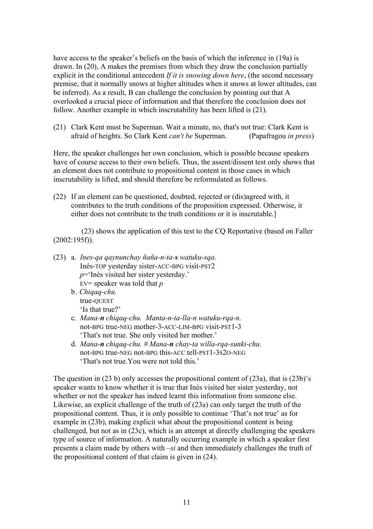have access to the speaker's beliefs on the basis of which the inference in (19a) is drawn. In (20), A makes the premises from which they draw the conclusion partially explicit in the conditional antecedent *If it is snowing down here*, (the second necessary premise, that it normally snows at higher altitudes when it snows at lower altitudes, can be inferred). As a result, B can challenge the conclusion by pointing out that A overlooked a crucial piece of information and that therefore the conclusion does not follow. Another example in which inscrutability has been lifted is (21).

(21) Clark Kent must be Superman. Wait a minute, no, that's not true: Clark Kent is afraid of heights. So Clark Kent *can't be* Superman. (Papafragou *in press*)

Here, the speaker challenges her own conclusion, which is possible because speakers have of course access to their own beliefs. Thus, the assent/dissent test only shows that an element does not contribute to propositional content in those cases in which inscrutability is lifted, and should therefore be reformulated as follows.

(22) If an element can be questioned, doubted, rejected or (dis)agreed with, it contributes to the truth conditions of the proposition expressed. Otherwise, it either does not contribute to the truth conditions or it is inscrutable.]

(23) shows the application of this test to the CQ Reportative (based on Faller  $(2002:195f)$ ).

- (23) a. *Ines-qa qaynunchay ñaña-n-ta-s watuku-sqa*. Inés-TOP yesterday sister-ACC-BPG visit-PST2 *p*='Inés visited her sister yesterday.' EV= speaker was told that *p*
	- b . *Chiqaq-chu.* true-QUEST 'Is that true?'
	- c. *Mana-n chiqaq-chu. Manta-n-ta-lla-n watuku-rqa-n.* not-BPG true-NEG mother-3-ACC-LIM-BPG visit-PST1-3 'That's not true. She only visited her mother.'
	- d. *Mana-n chiqaq-chu. # Mana-n chay-ta willa-rqa-sunki-chu*. not-BPG true-NEG not-BPG this-ACC tell-PST1-3S2O-NEG 'That's not true.You were not told this.'

The question in  $(23 b)$  only accesses the propositional content of  $(23a)$ , that is  $(23b)'s$ speaker wants to know whether it is true that Inés visited her sister yesterday, not whether or not the speaker has indeed learnt this information from someone else. Likewise, an explicit challenge of the truth of (23a) can only target the truth of the propositional content. Thus, it is only possible to continue 'That's not true' as for example in (23b), making explicit what about the propositional content is being challenged, but not as in (23c), which is an attempt at directly challenging the speakers type of source of information. A naturally occurring example in which a speaker first presents a claim made by others with *–si* and then immediately challenges the truth of the propositional content of that claim is given in (24).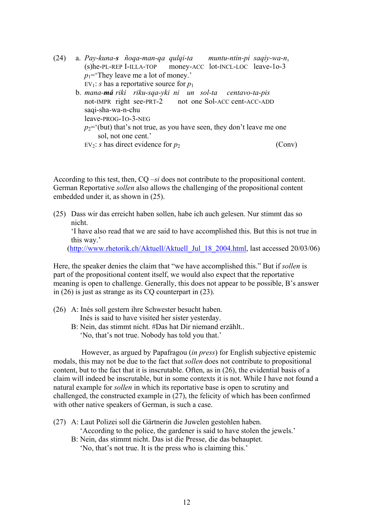(24) a. *Pay-kuna-s ñoqa-man-qa qulqi-ta muntu-ntin-pi saqiy-wa-n*, (s)he-PL-REP I-ILLA-TOP money-ACC lot-INCL-LOC leave-1o-3  $p_1$ ='They leave me a lot of money.' EV<sub>1</sub>: *s* has a reportative source for  $p_1$ b. *mana-má riki riku-sqa-yki ni un sol-ta centavo-ta-pis* not-IMPR right see-PRT-2 not one Sol-ACC cent-ACC-ADD saqi-sha-wa-n-chu leave-PROG-1O-3-NEG  $p_2$ ='(but) that's not true, as you have seen, they don't leave me one sol, not one cent.' EV<sub>2</sub>: *s* has direct evidence for  $p_2$  (Conv)

According to this test, then, CQ *–si* does not contribute to the propositional content. German Reportative *sollen* also allows the challenging of the propositional content embedded under it, as shown in (25).

(25) Dass wir das erreicht haben sollen, habe ich auch gelesen. Nur stimmt das so nicht.

 'I have also read that we are said to have accomplished this. But this is not true in this way.'

(http://www.rhetorik.ch/Aktuell/Aktuell\_Jul\_18\_2004.html, last accessed 20/03/06)

Here, the speaker denies the claim that "we have accomplished this." But if *sollen* is part of the propositional content itself, we would also expect that the reportative meaning is open to challenge. Generally, this does not appear to be possible, B's answer in (26) is just as strange as its CQ counterpart in (23).

- (26) A: Inés soll gestern ihre Schwester besucht haben. Inés is said to have visited her sister yesterday.
	- B: Nein, das stimmt nicht. #Das hat Dir niemand erzählt.. 'No, that's not true. Nobody has told you that.'

However, as argued by Papafragou (*in press*) for English subjective epistemic modals, this may not be due to the fact that *sollen* does not contribute to propositional content, but to the fact that it is inscrutable. Often, as in (26), the evidential basis of a claim will indeed be inscrutable, but in some contexts it is not. While I have not found a natural example for *sollen* in which its reportative base is open to scrutiny and challenged, the constructed example in (27), the felicity of which has been confirmed with other native speakers of German, is such a case.

(27) A: Laut Polizei soll die Gärtnerin die Juwelen gestohlen haben.

'According to the police, the gardener is said to have stolen the jewels.'

 B: Nein, das stimmt nicht. Das ist die Presse, die das behauptet. 'No, that's not true. It is the press who is claiming this.'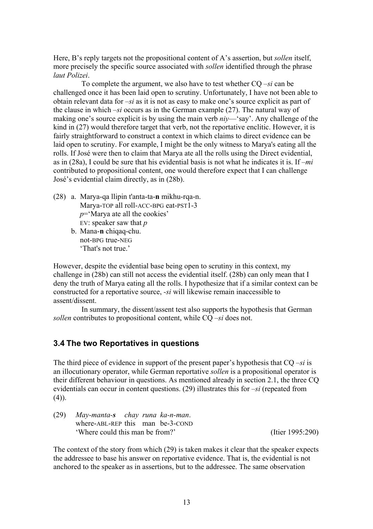Here, B's reply targets not the propositional content of A's assertion, but *sollen* itself, more precisely the specific source associated with *sollen* identified through the phrase *laut Polizei*.

To complete the argument, we also have to test whether CQ *–si* can be challenged once it has been laid open to scrutiny. Unfortunately, I have not been able to obtain relevant data for *–si* as it is not as easy to make one's source explicit as part of the clause in which *–si* occurs as in the German example (27). The natural way of making one's source explicit is by using the main verb *niy*—'say'. Any challenge of the kind in (27) would therefore target that verb, not the reportative enclitic. However, it is fairly straightforward to construct a context in which claims to direct evidence can be laid open to scrutiny. For example, I might be the only witness to Marya's eating all the rolls. If José were then to claim that Marya ate all the rolls using the Direct evidential, as in (28a), I could be sure that his evidential basis is not what he indicates it is. If *–mi* contributed to propositional content, one would therefore expect that I can challenge José's evidential claim directly, as in (28b).

- (28) a. Marya-qa llipin t'anta-ta-**n** mikhu-rqa-n. Marya-TOP all roll-ACC-BPG eat-PST1-3 *p*='Marya ate all the cookies' EV: speaker saw that *p*
	- b. Mana-**n** chiqaq-chu. not-BPG true-NEG 'That's not true.'

However, despite the evidential base being open to scrutiny in this context, my challenge in (28b) can still not access the evidential itself. (28b) can only mean that I deny the truth of Marya eating all the rolls. I hypothesize that if a similar context can be constructed for a reportative source, *-si* will likewise remain inaccessible to assent/dissent.

In summary, the dissent/assent test also supports the hypothesis that German *sollen* contributes to propositional content, while CQ *–si* does not.

## **3.4 The two Reportatives in questions**

The third piece of evidence in support of the present paper's hypothesis that CQ –*si* is an illocutionary operator, while German reportative *sollen* is a propositional operator is their different behaviour in questions. As mentioned already in section 2.1, the three CQ evidentials can occur in content questions. (29) illustrates this for –*si* (repeated from  $(4)$ ).

(29) *May-manta-s chay runa ka-n-man*. where-ABL-REP this man be-3-COND 'Where could this man be from?' (Itier 1995:290)

The context of the story from which (29) is taken makes it clear that the speaker expects the addressee to base his answer on reportative evidence. That is, the evidential is not anchored to the speaker as in assertions, but to the addressee. The same observation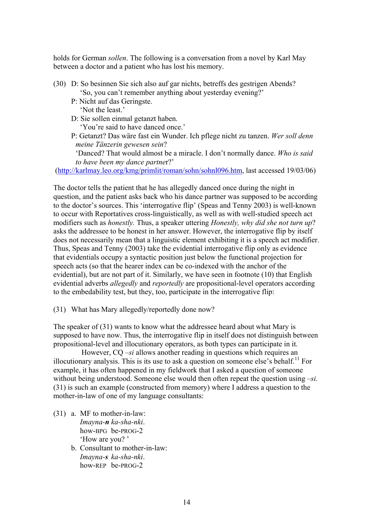holds for German *sollen*. The following is a conversation from a novel by Karl May between a doctor and a patient who has lost his memory.

- (30) D: So besinnen Sie sich also auf gar nichts, betreffs des gestrigen Abends? 'So, you can't remember anything about yesterday evening?'
	- P: Nicht auf das Geringste.
		- 'Not the least.'
	- D: Sie sollen einmal getanzt haben.
		- 'You're said to have danced once.'
	- P: Getanzt? Das wäre fast ein Wunder. Ich pflege nicht zu tanzen. *Wer soll denn meine Tänzerin gewesen sein*?

'Danced? That would almost be a miracle. I don't normally dance. *Who is said to have been my dance partne*r?'

(http://karlmay.leo.org/kmg/primlit/roman/sohn/sohnl096.htm, last accessed 19/03/06)

The doctor tells the patient that he has allegedly danced once during the night in question, and the patient asks back who his dance partner was supposed to be according to the doctor's sources. This 'interrogative flip' (Speas and Tenny 2003) is well-known to occur with Reportatives cross-linguistically, as well as with well-studied speech act modifiers such as *honestly.* Thus, a speaker uttering *Honestly, why did she not turn up*? asks the addressee to be honest in her answer. However, the interrogative flip by itself does not necessarily mean that a linguistic element exhibiting it is a speech act modifier. Thus, Speas and Tenny (2003) take the evidential interrogative flip only as evidence that evidentials occupy a syntactic position just below the functional projection for speech acts (so that the hearer index can be co-indexed with the anchor of the evidential), but are not part of it. Similarly, we have seen in footnote (10) that English evidential adverbs *allegedly* and *reportedly* are propositional-level operators according to the embedability test, but they, too, participate in the interrogative flip:

(31) What has Mary allegedly/reportedly done now?

The speaker of (31) wants to know what the addressee heard about what Mary is supposed to have now. Thus, the interrogative flip in itself does not distinguish between propositional-level and illocutionary operators, as both types can participate in it.

However, CQ *–si* allows another reading in questions which requires an illocutionary analysis. This is its use to ask a question on someone else's behalf.<sup>11</sup> For example, it has often happened in my fieldwork that I asked a question of someone without being understood. Someone else would then often repeat the question using *–si.*  (31) is such an example (constructed from memory) where I address a question to the mother-in-law of one of my language consultants:

- (31) a. MF to mother-in-law: *Imayna-n ka-sha-nki*. how-BPG be-PROG-2 'How are you? '
	- b. Consultant to mother-in-law: *Imayna-s ka-sha-nki*. how-REP be-PROG-2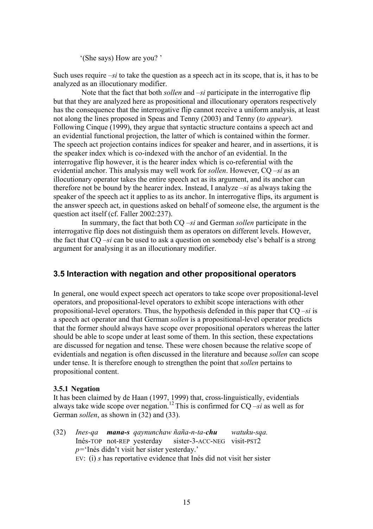'(She says) How are you? '

Such uses require *–si* to take the question as a speech act in its scope, that is, it has to be analyzed as an illocutionary modifier.

Note that the fact that both *sollen* and *–si* participate in the interrogative flip but that they are analyzed here as propositional and illocutionary operators respectively has the consequence that the interrogative flip cannot receive a uniform analysis, at least not along the lines proposed in Speas and Tenny (2003) and Tenny (*to appear*). Following Cinque (1999), they argue that syntactic structure contains a speech act and an evidential functional projection, the latter of which is contained within the former. The speech act projection contains indices for speaker and hearer, and in assertions, it is the speaker index which is co-indexed with the anchor of an evidential. In the interrogative flip however, it is the hearer index which is co-referential with the evidential anchor. This analysis may well work for *sollen*. However, CQ *–si* as an illocutionary operator takes the entire speech act as its argument, and its anchor can therefore not be bound by the hearer index. Instead, I analyze –*si* as always taking the speaker of the speech act it applies to as its anchor. In interrogative flips, its argument is the answer speech act, in questions asked on behalf of someone else, the argument is the question act itself (cf. Faller 2002:237).

In summary, the fact that both CQ *–si* and German *sollen* participate in the interrogative flip does not distinguish them as operators on different levels. However, the fact that CQ *–si* can be used to ask a question on somebody else's behalf is a strong argument for analysing it as an illocutionary modifier.

## **3.5 Interaction with negation and other propositional operators**

In general, one would expect speech act operators to take scope over propositional-level operators, and propositional-level operators to exhibit scope interactions with other propositional-level operators. Thus, the hypothesis defended in this paper that CQ –*si* is a speech act operator and that German *sollen* is a propositional-level operator predicts that the former should always have scope over propositional operators whereas the latter should be able to scope under at least some of them. In this section, these expectations are discussed for negation and tense. These were chosen because the relative scope of evidentials and negation is often discussed in the literature and because *sollen* can scope under tense. It is therefore enough to strengthen the point that *sollen* pertains to propositional content.

#### **3.5.1 Negation**

It has been claimed by de Haan (1997, 1999) that, cross-linguistically, evidentials always take wide scope over negation.12 This is confirmed for CQ *–si* as well as for German *sollen*, as shown in (32) and (33).

(32) *Ines-qa mana-s qaynunchaw ñaña-n-ta-chu watuku-sqa.* Inés-TOP not-REP yesterday sister-3-ACC-NEG visit-PST2 *p=*'Inés didn't visit her sister yesterday.' EV: (i) *s* has reportative evidence that Inés did not visit her sister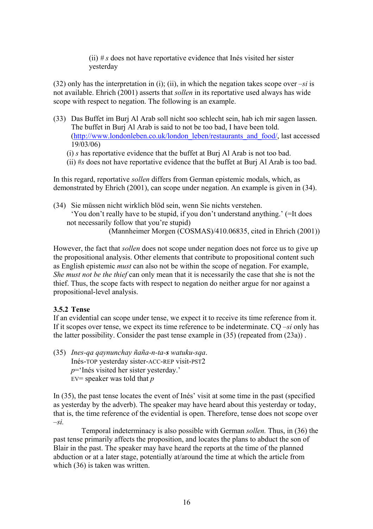(ii) *# s* does not have reportative evidence that Inés visited her sister yesterday

(32) only has the interpretation in (i); (ii), in which the negation takes scope over *–si* is not available. Ehrich (2001) asserts that *sollen* in its reportative used always has wide scope with respect to negation. The following is an example.

- (33) Das Buffet im Burj Al Arab soll nicht soo schlecht sein, hab ich mir sagen lassen. The buffet in Burj Al Arab is said to not be too bad, I have been told. (http://www.londonleben.co.uk/london\_leben/restaurants\_and\_food/, last accessed 19/03/06)
	- (i) *s* has reportative evidence that the buffet at Burj Al Arab is not too bad.
	- (ii) #*s* does not have reportative evidence that the buffet at Burj Al Arab is too bad.

In this regard, reportative *sollen* differs from German epistemic modals, which, as demonstrated by Ehrich (2001), can scope under negation. An example is given in (34).

(34) Sie müssen nicht wirklich blöd sein, wenn Sie nichts verstehen. 'You don't really have to be stupid, if you don't understand anything.' (=It does not necessarily follow that you're stupid) (Mannheimer Morgen (COSMAS)/410.06835, cited in Ehrich (2001))

However, the fact that *sollen* does not scope under negation does not force us to give up the propositional analysis. Other elements that contribute to propositional content such as English epistemic *must* can also not be within the scope of negation. For example, *She must not be the thief* can only mean that it is necessarily the case that she is not the thief. Thus, the scope facts with respect to negation do neither argue for nor against a propositional-level analysis.

#### **3.5.2 Tense**

If an evidential can scope under tense, we expect it to receive its time reference from it. If it scopes over tense, we expect its time reference to be indeterminate. CQ *–si* only has the latter possibility. Consider the past tense example in (35) (repeated from (23a)) .

(35) *Ines-qa qaynunchay ñaña-n-ta-s watuku-sqa*. Inés-TOP yesterday sister-ACC-REP visit-PST2 *p*='Inés visited her sister yesterday.' EV= speaker was told that *p*

In (35), the past tense locates the event of Inés' visit at some time in the past (specified as yesterday by the adverb). The speaker may have heard about this yesterday or today, that is, the time reference of the evidential is open. Therefore, tense does not scope over –*si.*

Temporal indeterminacy is also possible with German *sollen.* Thus, in (36) the past tense primarily affects the proposition, and locates the plans to abduct the son of Blair in the past. The speaker may have heard the reports at the time of the planned abduction or at a later stage, potentially at/around the time at which the article from which (36) is taken was written.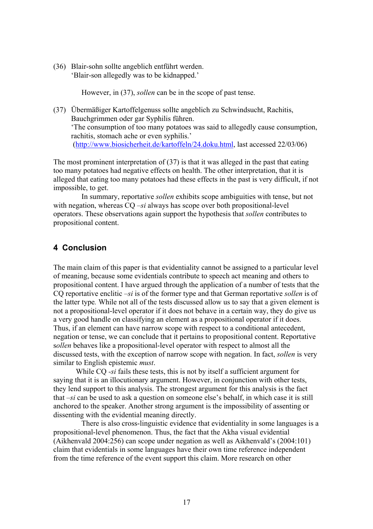(36) Blair-sohn sollte angeblich entführt werden. 'Blair-son allegedly was to be kidnapped.'

However, in (37), *sollen* can be in the scope of past tense.

(37) Übermäßiger Kartoffelgenuss sollte angeblich zu Schwindsucht, Rachitis, Bauchgrimmen oder gar Syphilis führen. 'The consumption of too many potatoes was said to allegedly cause consumption, rachitis, stomach ache or even syphilis.' (http://www.biosicherheit.de/kartoffeln/24.doku.html, last accessed 22/03/06)

The most prominent interpretation of (37) is that it was alleged in the past that eating too many potatoes had negative effects on health. The other interpretation, that it is alleged that eating too many potatoes had these effects in the past is very difficult, if not impossible, to get.

In summary, reportative *sollen* exhibits scope ambiguities with tense, but not with negation, whereas CQ *–si* always has scope over both propositional-level operators. These observations again support the hypothesis that *sollen* contributes to propositional content.

#### **4 Conclusion**

The main claim of this paper is that evidentiality cannot be assigned to a particular level of meaning, because some evidentials contribute to speech act meaning and others to propositional content. I have argued through the application of a number of tests that the CQ reportative enclitic *–si* is of the former type and that German reportative *sollen* is of the latter type*.* While not all of the tests discussed allow us to say that a given element is not a propositional-level operator if it does not behave in a certain way, they do give us a very good handle on classifying an element as a propositional operator if it does. Thus, if an element can have narrow scope with respect to a conditional antecedent, negation or tense, we can conclude that it pertains to propositional content. Reportative s*ollen* behaves like a propositional-level operator with respect to almost all the discussed tests, with the exception of narrow scope with negation. In fact, *sollen* is very similar to English epistemic *must*.

While CQ *-si* fails these tests, this is not by itself a sufficient argument for saying that it is an illocutionary argument. However, in conjunction with other tests, they lend support to this analysis. The strongest argument for this analysis is the fact that *–si* can be used to ask a question on someone else's behalf, in which case it is still anchored to the speaker. Another strong argument is the impossibility of assenting or dissenting with the evidential meaning directly.

There is also cross-linguistic evidence that evidentiality in some languages is a propositional-level phenomenon. Thus, the fact that the Akha visual evidential (Aikhenvald 2004:256) can scope under negation as well as Aikhenvald's (2004:101) claim that evidentials in some languages have their own time reference independent from the time reference of the event support this claim. More research on other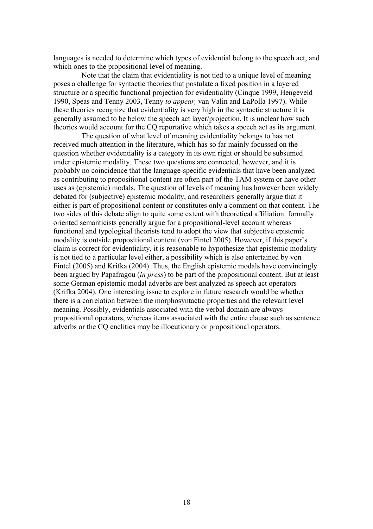languages is needed to determine which types of evidential belong to the speech act, and which ones to the propositional level of meaning.

Note that the claim that evidentiality is not tied to a unique level of meaning poses a challenge for syntactic theories that postulate a fixed position in a layered structure or a specific functional projection for evidentiality (Cinque 1999, Hengeveld 1990, Speas and Tenny 2003, Tenny *to appear,* van Valin and LaPolla 1997). While these theories recognize that evidentiality is very high in the syntactic structure it is generally assumed to be below the speech act layer/projection. It is unclear how such theories would account for the CQ reportative which takes a speech act as its argument.

The question of what level of meaning evidentiality belongs to has not received much attention in the literature, which has so far mainly focussed on the question whether evidentiality is a category in its own right or should be subsumed under epistemic modality. These two questions are connected, however, and it is probably no coincidence that the language-specific evidentials that have been analyzed as contributing to propositional content are often part of the TAM system or have other uses as (epistemic) modals. The question of levels of meaning has however been widely debated for (subjective) epistemic modality, and researchers generally argue that it either is part of propositional content or constitutes only a comment on that content. The two sides of this debate align to quite some extent with theoretical affiliation: formally oriented semanticists generally argue for a propositional-level account whereas functional and typological theorists tend to adopt the view that subjective epistemic modality is outside propositional content (von Fintel 2005). However, if this paper's claim is correct for evidentiality, it is reasonable to hypothesize that epistemic modality is not tied to a particular level either, a possibility which is also entertained by von Fintel (2005) and Krifka (2004). Thus, the English epistemic modals have convincingly been argued by Papafragou (*in press*) to be part of the propositional content. But at least some German epistemic modal adverbs are best analyzed as speech act operators (Krifka 2004). One interesting issue to explore in future research would be whether there is a correlation between the morphosyntactic properties and the relevant level meaning. Possibly, evidentials associated with the verbal domain are always propositional operators, whereas items associated with the entire clause such as sentence adverbs or the CQ enclitics may be illocutionary or propositional operators.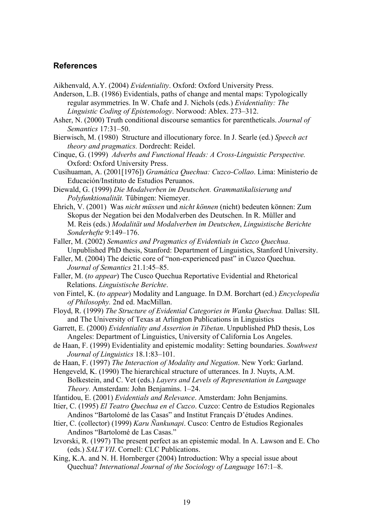## **References**

Aikhenvald, A.Y. (2004) *Evidentiality*. Oxford: Oxford University Press.

Anderson, L.B. (1986) Evidentials, paths of change and mental maps: Typologically regular asymmetries. In W. Chafe and J. Nichols (eds.) *Evidentiality: The Linguistic Coding of Epistemology*. Norwood: Ablex. 273–312.

- Asher, N. (2000) Truth conditional discourse semantics for parentheticals. *Journal of Semantics* 17:31–50.
- Bierwisch, M. (1980) Structure and illocutionary force. In J. Searle (ed.) *Speech act theory and pragmatics.* Dordrecht: Reidel.

Cinque, G. (1999) *Adverbs and Functional Heads: A Cross-Linguistic Perspective.* Oxford: Oxford University Press.

Cusihuaman, A. (2001[1976]) *Gramática Quechua: Cuzco-Collao*. Lima: Ministerio de Educación/Instituto de Estudios Peruanos.

Diewald, G. (1999) *Die Modalverben im Deutschen. Grammatikalisierung und Polyfunktionalität.* Tübingen: Niemeyer.

- Ehrich, V. (2001) Was *nicht müssen* und *nicht können* (nicht) bedeuten können: Zum Skopus der Negation bei den Modalverben des Deutschen. In R. Müller and M. Reis (eds.) *Modalität und Modalverben im Deutschen*, *Linguistische Berichte Sonderhefte* 9:149–176.
- Faller, M. (2002) *Semantics and Pragmatics of Evidentials in Cuzco Quechua*. Unpublished PhD thesis, Stanford: Department of Linguistics, Stanford University.
- Faller, M. (2004) The deictic core of "non-experienced past" in Cuzco Quechua. *Journal of Semantics* 21.1:45–85.
- Faller, M. (*to appear*) The Cusco Quechua Reportative Evidential and Rhetorical Relations. *Linguistische Berichte*.
- von Fintel, K. (*to appear*) Modality and Language. In D.M. Borchart (ed.) *Encyclopedia of Philosophy.* 2nd ed. MacMillan.
- Floyd, R. (1999) *The Structure of Evidential Categories in Wanka Quechua.* Dallas: SIL and The University of Texas at Arlington Publications in Linguistics
- Garrett, E. (2000) *Evidentiality and Assertion in Tibetan*. Unpublished PhD thesis, Los Angeles: Department of Linguistics, University of California Los Angeles.
- de Haan, F. (1999) Evidentiality and epistemic modality: Setting boundaries. *Southwest Journal of Linguistics* 18.1:83–101.
- de Haan, F. (1997) *The Interaction of Modality and Negation*. New York: Garland.

Hengeveld, K. (1990) The hierarchical structure of utterances. In J. Nuyts, A.M. Bolkestein, and C. Vet (eds.) *Layers and Levels of Representation in Language Theory.* Amsterdam: John Benjamins. 1–24.

- Ifantidou, E. (2001) *Evidentials and Relevance*. Amsterdam: John Benjamins.
- Itier, C. (1995) *El Teatro Quechua en el Cuzco*. Cuzco: Centro de Estudios Regionales Andinos "Bartolomé de las Casas" and Institut Français D'études Andines.
- Itier, C. (collector) (1999) *Karu Ñankunapi*. Cusco: Centro de Estudios Regionales Andinos "Bartolomé de Las Casas."
- Izvorski, R. (1997) The present perfect as an epistemic modal. In A. Lawson and E. Cho (eds.) *SALT VII*. Cornell: CLC Publications.
- King, K.A. and N. H. Hornberger (2004) Introduction: Why a special issue about Quechua? *International Journal of the Sociology of Language* 167:1–8.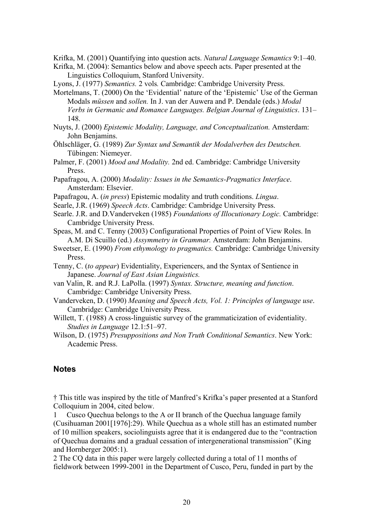Krifka, M. (2001) Quantifying into question acts. *Natural Language Semantics* 9:1–40.

Krifka, M. (2004): Semantics below and above speech acts. Paper presented at the Linguistics Colloquium, Stanford University.

Lyons, J. (1977) *Semantics.* 2 vols*.* Cambridge: Cambridge University Press.

- Mortelmans, T. (2000) On the 'Evidential' nature of the 'Epistemic' Use of the German Modals *müssen* and *sollen.* In J. van der Auwera and P. Dendale (eds.) *Modal Verbs in Germanic and Romance Languages. Belgian Journal of Linguistics*. 131– 148.
- Nuyts, J. (2000) *Epistemic Modality, Language, and Conceptualization.* Amsterdam: John Benjamins.
- Öhlschläger, G. (1989) *Zur Syntax und Semantik der Modalverben des Deutschen.* Tübingen: Niemeyer.
- Palmer, F. (2001) *Mood and Modality.* 2nd ed. Cambridge: Cambridge University Press.
- Papafragou, A. (2000) *Modality: Issues in the Semantics-Pragmatics Interface*. Amsterdam: Elsevier.
- Papafragou, A. (*in press*) Epistemic modality and truth conditions. *Lingua*.
- Searle, J.R. (1969) *Speech Acts*. Cambridge: Cambridge University Press.
- Searle. J.R. and D.Vanderveken (1985) *Foundations of Illocutionary Logic.* Cambridge: Cambridge University Press.

Speas, M. and C. Tenny (2003) Configurational Properties of Point of View Roles. In A.M. Di Scuillo (ed.) *Assymmetry in Grammar.* Amsterdam: John Benjamins.

- Sweetser, E. (1990) *From ethymology to pragmatics.* Cambridge: Cambridge University Press.
- Tenny, C. (*to appear*) Evidentiality, Experiencers, and the Syntax of Sentience in Japanese. *Journal of East Asian Linguistics.*
- van Valin, R. and R.J. LaPolla. (1997) *Syntax. Structure, meaning and function*. Cambridge: Cambridge University Press.
- Vanderveken, D. (1990) *Meaning and Speech Acts, Vol. 1: Principles of language use*. Cambridge: Cambridge University Press.
- Willett, T. (1988) A cross-linguistic survey of the grammaticization of evidentiality. *Studies in Language* 12.1:51–97.
- Wilson, D. (1975) *Presuppositions and Non Truth Conditional Semantics*. New York: Academic Press.

#### **Notes**

† This title was inspired by the title of Manfred's Krifka's paper presented at a Stanford Colloquium in 2004, cited below.

1 Cusco Quechua belongs to the A or II branch of the Quechua language family (Cusihuaman 2001[1976]:29). While Quechua as a whole still has an estimated number of 10 million speakers, sociolinguists agree that it is endangered due to the "contraction of Quechua domains and a gradual cessation of intergenerational transmission" (King and Hornberger 2005:1).

2 The CQ data in this paper were largely collected during a total of 11 months of fieldwork between 1999-2001 in the Department of Cusco, Peru, funded in part by the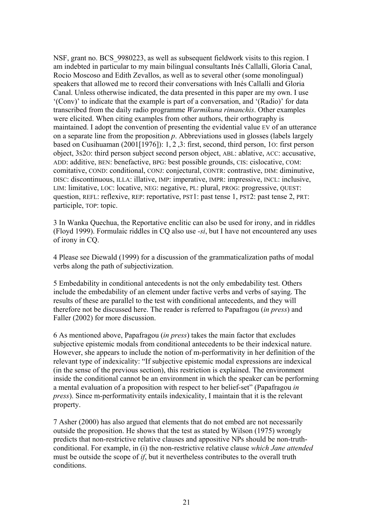NSF, grant no. BCS\_9980223, as well as subsequent fieldwork visits to this region. I am indebted in particular to my main bilingual consultants Inés Callalli, Gloria Canal, Rocio Moscoso and Edith Zevallos, as well as to several other (some monolingual) speakers that allowed me to record their conversations with Inés Callalli and Gloria Canal. Unless otherwise indicated, the data presented in this paper are my own. I use '(Conv)' to indicate that the example is part of a conversation, and '(Radio)' for data transcribed from the daily radio programme *Warmikuna rimanchis*. Other examples were elicited. When citing examples from other authors, their orthography is maintained. I adopt the convention of presenting the evidential value EV of an utterance on a separate line from the proposition *p*. Abbreviations used in glosses (labels largely based on Cusihuaman (2001[1976]): 1, 2 ,3: first, second, third person, 1O: first person object, 3S2O: third person subject second person object, ABL: ablative, ACC: accusative, ADD: additive, BEN: benefactive, BPG: best possible grounds, CIS: cislocative, COM: comitative, COND: conditional, CONJ: conjectural, CONTR: contrastive, DIM: diminutive, DISC: discontinuous, ILLA: illative, IMP: imperative, IMPR: impressive, INCL: inclusive, LIM: limitative, LOC: locative, NEG: negative, PL: plural, PROG: progressive, QUEST: question, REFL: reflexive, REP: reportative, PST1: past tense 1, PST2: past tense 2, PRT: participle, TOP: topic.

3 In Wanka Quechua, the Reportative enclitic can also be used for irony, and in riddles (Floyd 1999). Formulaic riddles in CQ also use *-si*, but I have not encountered any uses of irony in CQ.

4 Please see Diewald (1999) for a discussion of the grammaticalization paths of modal verbs along the path of subjectivization.

5 Embedability in conditional antecedents is not the only embedability test. Others include the embedability of an element under factive verbs and verbs of saying. The results of these are parallel to the test with conditional antecedents, and they will therefore not be discussed here. The reader is referred to Papafragou (*in press*) and Faller (2002) for more discussion.

6 As mentioned above, Papafragou (*in press*) takes the main factor that excludes subjective epistemic modals from conditional antecedents to be their indexical nature. However, she appears to include the notion of m-performativity in her definition of the relevant type of indexicality: "If subjective epistemic modal expressions are indexical (in the sense of the previous section), this restriction is explained. The environment inside the conditional cannot be an environment in which the speaker can be performing a mental evaluation of a proposition with respect to her belief-set" (Papafragou *in press*). Since m-performativity entails indexicality, I maintain that it is the relevant property.

7 Asher (2000) has also argued that elements that do not embed are not necessarily outside the proposition. He shows that the test as stated by Wilson (1975) wrongly predicts that non-restrictive relative clauses and appositive NPs should be non-truthconditional. For example, in (i) the non-restrictive relative clause *which Jane attended* must be outside the scope of *if*, but it nevertheless contributes to the overall truth conditions.